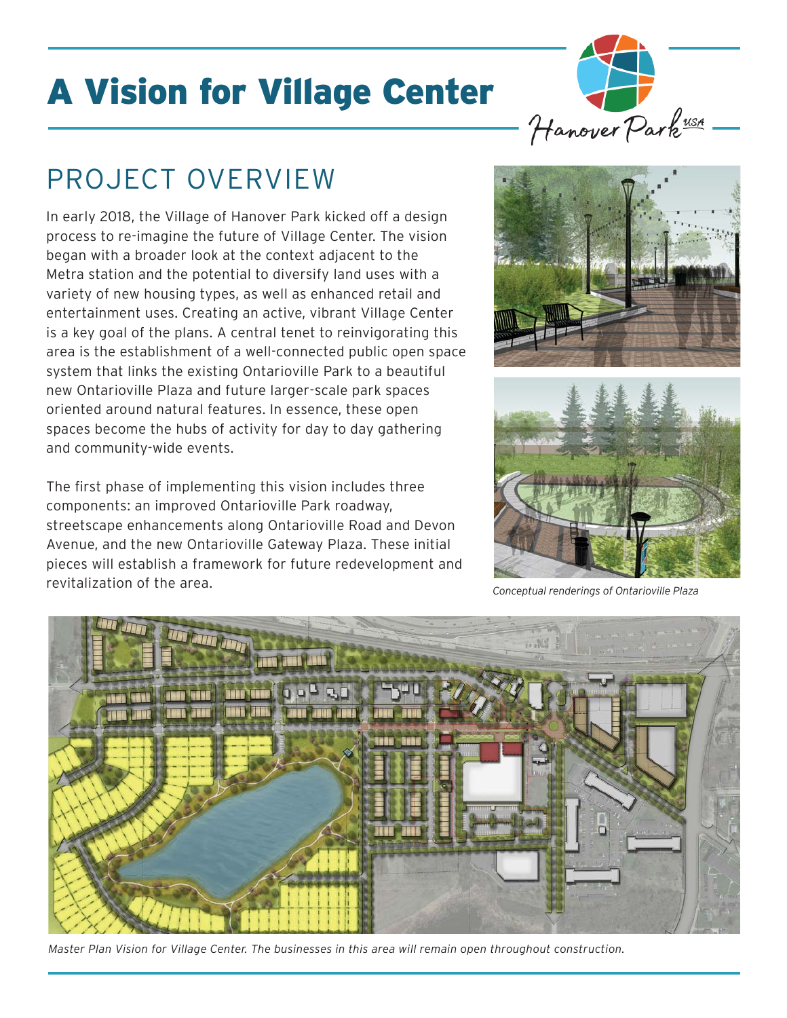# A Vision for Village Center

## PROJECT OVERVIEW

In early 2018, the Village of Hanover Park kicked off a design process to re-imagine the future of Village Center. The vision began with a broader look at the context adjacent to the Metra station and the potential to diversify land uses with a variety of new housing types, as well as enhanced retail and entertainment uses. Creating an active, vibrant Village Center is a key goal of the plans. A central tenet to reinvigorating this area is the establishment of a well-connected public open space system that links the existing Ontarioville Park to a beautiful new Ontarioville Plaza and future larger-scale park spaces oriented around natural features. In essence, these open spaces become the hubs of activity for day to day gathering and community-wide events.

The first phase of implementing this vision includes three components: an improved Ontarioville Park roadway, streetscape enhancements along Ontarioville Road and Devon Avenue, and the new Ontarioville Gateway Plaza. These initial pieces will establish a framework for future redevelopment and revitalization of the area. *Conceptual renderings of Ontarioville Plaza*



Hanover Park<sup>uss</sup>





*Master Plan Vision for Village Center. The businesses in this area will remain open throughout construction.*